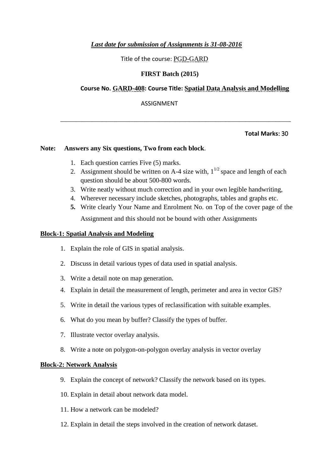## *Last date for submission of Assignments is 31-08-2016*

Title of the course: PGD-GARD

# **FIRST Batch (2015)**

# **Course No. GARD-408: Course Title: Spatial Data Analysis and Modelling**

ASSIGNMENT

## **Total Marks**: 30

## **Note: Answers any Six questions, Two from each block**.

- 1. Each question carries Five (5) marks.
- 2. Assignment should be written on A-4 size with,  $1^{1/2}$  space and length of each question should be about 500-800 words.

\_\_\_\_\_\_\_\_\_\_\_\_\_\_\_\_\_\_\_\_\_\_\_\_\_\_\_\_\_\_\_\_\_\_\_\_\_\_\_\_\_\_\_\_\_\_\_\_\_\_\_\_\_\_\_\_\_\_\_\_\_\_\_\_\_\_\_\_\_

- 3. Write neatly without much correction and in your own legible handwriting,
- 4. Wherever necessary include sketches, photographs, tables and graphs etc.
- **5.** Write clearly Your Name and Enrolment No. on Top of the cover page of the Assignment and this should not be bound with other Assignments

## **Block-1: Spatial Analysis and Modeling**

- 1. Explain the role of GIS in spatial analysis.
- 2. Discuss in detail various types of data used in spatial analysis.
- 3. Write a detail note on map generation.
- 4. Explain in detail the measurement of length, perimeter and area in vector GIS?
- 5. Write in detail the various types of reclassification with suitable examples.
- 6. What do you mean by buffer? Classify the types of buffer.
- 7. Illustrate vector overlay analysis.
- 8. Write a note on polygon-on-polygon overlay analysis in vector overlay

## **Block-2: Network Analysis**

- 9. Explain the concept of network? Classify the network based on its types.
- 10. Explain in detail about network data model.
- 11. How a network can be modeled?
- 12. Explain in detail the steps involved in the creation of network dataset.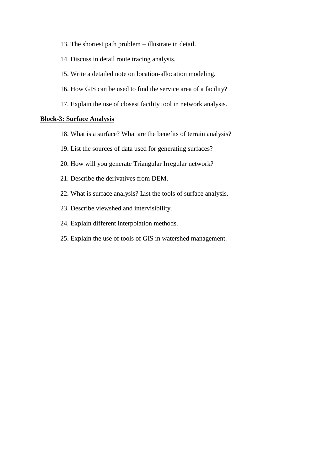- 13. The shortest path problem illustrate in detail.
- 14. Discuss in detail route tracing analysis.
- 15. Write a detailed note on location-allocation modeling.
- 16. How GIS can be used to find the service area of a facility?
- 17. Explain the use of closest facility tool in network analysis.

#### **Block-3: Surface Analysis**

- 18. What is a surface? What are the benefits of terrain analysis?
- 19. List the sources of data used for generating surfaces?
- 20. How will you generate Triangular Irregular network?
- 21. Describe the derivatives from DEM.
- 22. What is surface analysis? List the tools of surface analysis.
- 23. Describe viewshed and intervisibility.
- 24. Explain different interpolation methods.
- 25. Explain the use of tools of GIS in watershed management.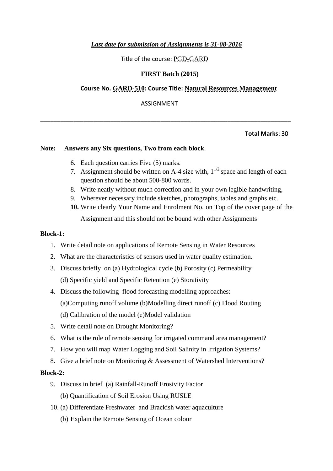## *Last date for submission of Assignments is 31-08-2016*

Title of the course: PGD-GARD

## **FIRST Batch (2015)**

## **Course No. GARD-510: Course Title: Natural Resources Management**

ASSIGNMENT

\_\_\_\_\_\_\_\_\_\_\_\_\_\_\_\_\_\_\_\_\_\_\_\_\_\_\_\_\_\_\_\_\_\_\_\_\_\_\_\_\_\_\_\_\_\_\_\_\_\_\_\_\_\_\_\_\_\_\_\_\_\_\_\_\_\_\_\_\_\_\_\_\_\_\_

## **Total Marks**: 30

## **Note: Answers any Six questions, Two from each block**.

- 6. Each question carries Five (5) marks.
- 7. Assignment should be written on A-4 size with,  $1^{1/2}$  space and length of each question should be about 500-800 words.
- 8. Write neatly without much correction and in your own legible handwriting,
- 9. Wherever necessary include sketches, photographs, tables and graphs etc.
- **10.** Write clearly Your Name and Enrolment No. on Top of the cover page of the Assignment and this should not be bound with other Assignments

#### **Block-1:**

- 1. Write detail note on applications of Remote Sensing in Water Resources
- 2. What are the characteristics of sensors used in water quality estimation.
- 3. Discuss briefly on (a) Hydrological cycle (b) Porosity (c) Permeability (d) Specific yield and Specific Retention (e) Storativity
- 4. Discuss the following flood forecasting modelling approaches: (a)Computing runoff volume (b)Modelling direct runoff (c) Flood Routing (d) Calibration of the model (e)Model validation
- 5. Write detail note on Drought Monitoring?
- 6. What is the role of remote sensing for irrigated command area management?
- 7. How you will map Water Logging and Soil Salinity in Irrigation Systems?
- 8. Give a brief note on Monitoring & Assessment of Watershed Interventions?

#### **Block-2:**

- 9. Discuss in brief (a) Rainfall-Runoff Erosivity Factor
	- (b) Quantification of Soil Erosion Using RUSLE
- 10. (a) Differentiate Freshwater and Brackish water aquaculture
	- (b) Explain the Remote Sensing of Ocean colour